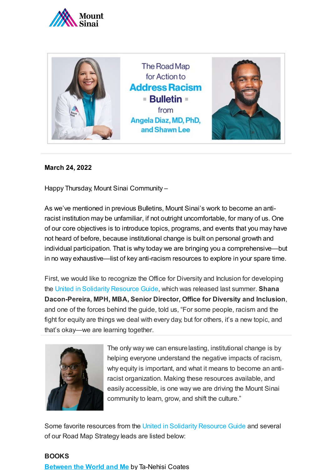



#### **March 24, 2022**

Happy Thursday, Mount Sinai Community –

As we've mentioned in previous Bulletins, Mount Sinai's work to become an antiracist institution may be unfamiliar, if not outright uncomfortable, for many of us. One of our core objectives is to introduce topics, programs, and events that you may have not heard of before, because institutional change is built on personal growth and individual participation. That is why today we are bringing you a comprehensive—but in no way exhaustive—list of key anti-racism resources to explore in your spare time.

First, we would like to recognize the Office for Diversity and Inclusion for developing the [United in Solidarity Resource Guide,](https://www.mountsinai.org/files/MSHealth/Assets/Media/UnitedSolidarityResources.pdf) which was released last summer. **Shana Dacon-Pereira, MPH, MBA, Senior Director, Office for Diversity and Inclusion**, and one of the forces behind the guide, told us, "For some people, racism and the fight for equity are things we deal with every day, but for others, it's a new topic, and that's okay—we are learning together.



The only way we can ensure lasting, institutional change is by helping everyone understand the negative impacts of racism, why equity is important, and what it means to become an antiracist organization. Making these resources available, and easily accessible, is one way we are driving the Mount Sinai community to learn, grow, and shift the culture."

Some favorite resources from the [United in Solidarity Resource Guide](https://www.mountsinai.org/files/MSHealth/Assets/Media/UnitedSolidarityResources.pdf) and several of our Road Map Strategy leads are listed below:

#### **BOOKS**

**[Between the World and Me](https://ta-nehisicoates.com/books/between-the-world-and-me/)** by Ta-Nehisi Coates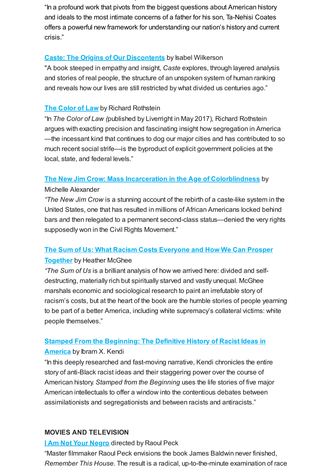"In a profound work that pivots from the biggest questions about American history and ideals to the most intimate concerns of a father for his son, Ta-Nehisi Coates offers a powerful new framework for understanding our nation's history and current crisis."

#### **[Caste: The Origins of Our Discontents](https://www.isabelwilkerson.com/retailers)** by Isabel Wilkerson

.

"A book steeped in empathy and insight, *Caste* explores, through layered analysis and stories of real people, the structure of an unspoken system of human ranking and reveals how our lives are still restricted by what divided us centuries ago."

# **[The Color of Law](https://www.epi.org/publication/the-color-of-law-a-forgotten-history-of-how-our-government-segregated-america/)** by Richard Rothstein

"In *The Color of Law (*published by Liverright in May 2017)*,* Richard Rothstein argues with exacting precision and fascinating insight how segregation in America —the incessant kind that continues to dog our major cities and has contributed to so much recent social strife—is the byproduct of explicit government policies at the local, state, and federal levels."

## **[The New Jim Crow: Mass Incarceration in the Age of Colorblindness](https://newjimcrow.com/about/buy)** by

#### Michelle Alexander

*"The New Jim Crow* is a stunning account of the rebirth of a caste-like system in the United States, one that has resulted in millions of African Americans locked behind bars and then relegated to a permanent second-class status—denied the very rights supposedly won in the Civil Rights Movement."

# **[The Sum of Us: What Racism Costs Everyone and How We Can Prosper](https://heathermcghee.com/)**

#### **Together** by Heather McGhee

*"The Sum of Us* is a brilliant analysis of how we arrived here: divided and selfdestructing, materially rich but spiritually starved and vastly unequal. McGhee marshals economic and sociological research to paint an irrefutable story of racism's costs, but at the heart of the book are the humble stories of people yearning to be part of a better America, including white supremacy's collateral victims: white people themselves."

# **[Stamped From the Beginning: The Definitive History of Racist Ideas in](https://www.ibramxkendi.com/stamped)**

#### **America** by Ibram X. Kendi

"In this deeply researched and fast-moving narrative, Kendi chronicles the entire story of anti-Black racist ideas and their staggering power over the course of American history. *Stamped from the Beginning* uses the life stories of five major American intellectuals to offer a window into the contentious debates between assimilationists and segregationists and between racists and antiracists."

#### **MOVIES AND TELEVISION**

# **[I Am Not Your Negro](http://www.iamnotyournegrofilm.com/)** directed by Raoul Peck

"Master filmmaker Raoul Peck envisions the book James Baldwin never finished, *Remember This House*. The result is a radical, up-to-the-minute examination of race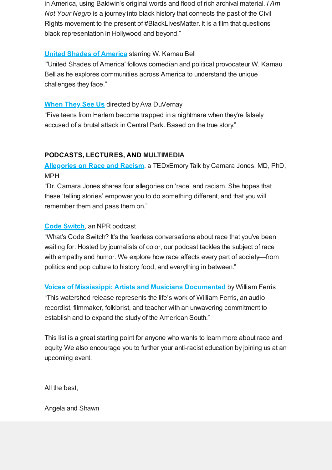in America, using Baldwin's original words and flood of rich archival material. *I Am Not Your Negro* is a journey into black history that connects the past of the Civil Rights movement to the present of #BlackLivesMatter. It is a film that questions black representation in Hollywood and beyond."

# **[United Shades of America](https://www.cnn.com/shows/united-shades-of-america)** starring W. Kamau Bell

"'United Shades of America' follows comedian and political provocateur W. Kamau Bell as he explores communities across America to understand the unique challenges they face."

# **[When They See Us](https://www.netflix.com/title/80200549) directed by Ava DuVernay**

"Five teens from Harlem become trapped in a nightmare when they're falsely accused of a brutal attack in Central Park. Based on the true story."

## **PODCASTS, LECTURES, AND MULTIMEDIA**

**[Allegories on Race and Racism](https://www.youtube.com/watch?v=GNhcY6fTyBM)**, a TEDxEmory Talk by Camara Jones, MD, PhD, MPH

"Dr. Camara Jones shares four allegories on 'race' and racism. She hopes that these 'telling stories' empower you to do something different, and that you will remember them and pass them on."

## **[Code Switch](https://www.npr.org/podcasts/510312/codeswitch)**, an NPR podcast

"What's Code Switch? It's the fearless conversations about race that you've been waiting for. Hosted by journalists of color, our podcast tackles the subject of race with empathy and humor. We explore how race affects every part of society—from politics and pop culture to history, food, and everything in between."

**[Voices of Mississippi: Artists and Musicians Documented](https://dust-digital.com/products/voices-of-mississippi-artists-and-musicians-documented-by-william-ferris)** by William Ferris "This watershed release represents the life's work of William Ferris, an audio recordist, filmmaker, folklorist, and teacher with an unwavering commitment to establish and to expand the study of the American South."

This list is a great starting point for anyone who wants to learn more about race and equity. We also encourage you to further your anti-racist education by joining us at an upcoming event.

All the best,

Angela and Shawn